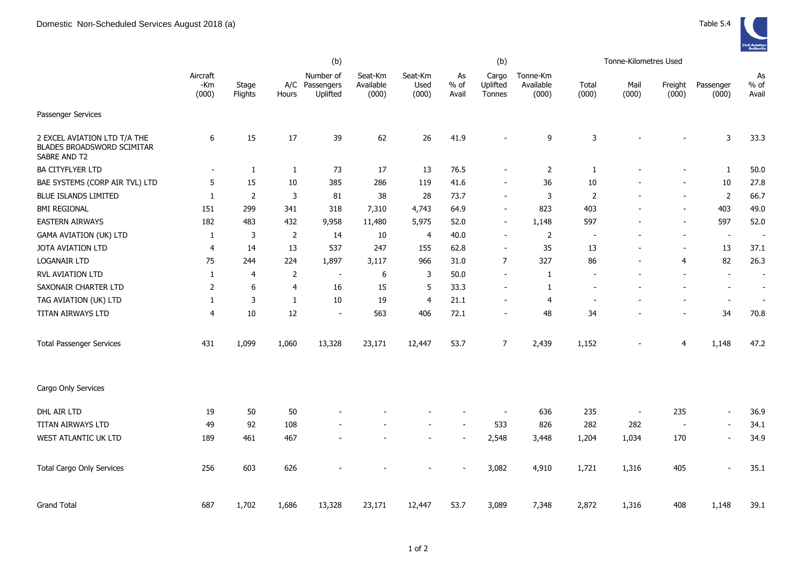|                                                                            | (b)                      |                  |                |                                         |                               |                          |                       | (b)                         |                                |                          | Tonne-Kilometres Used |                          |                          |                          |
|----------------------------------------------------------------------------|--------------------------|------------------|----------------|-----------------------------------------|-------------------------------|--------------------------|-----------------------|-----------------------------|--------------------------------|--------------------------|-----------------------|--------------------------|--------------------------|--------------------------|
|                                                                            | Aircraft<br>-Km<br>(000) | Stage<br>Flights | Hours          | Number of<br>A/C Passengers<br>Uplifted | Seat-Km<br>Available<br>(000) | Seat-Km<br>Used<br>(000) | As<br>$%$ of<br>Avail | Cargo<br>Uplifted<br>Tonnes | Tonne-Km<br>Available<br>(000) | Total<br>(000)           | Mail<br>(000)         | Freight<br>(000)         | Passenger<br>(000)       | As<br>$%$ of<br>Avail    |
| Passenger Services                                                         |                          |                  |                |                                         |                               |                          |                       |                             |                                |                          |                       |                          |                          |                          |
| 2 EXCEL AVIATION LTD T/A THE<br>BLADES BROADSWORD SCIMITAR<br>SABRE AND T2 | 6                        | 15               | 17             | 39                                      | 62                            | 26                       | 41.9                  |                             | 9                              | 3                        |                       |                          | 3                        | 33.3                     |
| <b>BA CITYFLYER LTD</b>                                                    |                          | $\mathbf{1}$     | $\mathbf{1}$   | 73                                      | 17                            | 13                       | 76.5                  |                             | $\overline{2}$                 | $\mathbf{1}$             |                       |                          | $\mathbf{1}$             | 50.0                     |
| BAE SYSTEMS (CORP AIR TVL) LTD                                             | 5                        | 15               | 10             | 385                                     | 286                           | 119                      | 41.6                  |                             | 36                             | 10                       |                       |                          | 10                       | 27.8                     |
| <b>BLUE ISLANDS LIMITED</b>                                                | $\mathbf{1}$             | $\overline{2}$   | 3              | 81                                      | 38                            | 28                       | 73.7                  |                             | 3                              | $\overline{2}$           |                       |                          | 2                        | 66.7                     |
| <b>BMI REGIONAL</b>                                                        | 151                      | 299              | 341            | 318                                     | 7,310                         | 4,743                    | 64.9                  | $\sim$                      | 823                            | 403                      | $\overline{a}$        | $\overline{\phantom{a}}$ | 403                      | 49.0                     |
| <b>EASTERN AIRWAYS</b>                                                     | 182                      | 483              | 432            | 9,958                                   | 11,480                        | 5,975                    | 52.0                  |                             | 1,148                          | 597                      |                       |                          | 597                      | 52.0                     |
| <b>GAMA AVIATION (UK) LTD</b>                                              | $\mathbf{1}$             | 3                | $\overline{2}$ | 14                                      | 10                            | $\overline{4}$           | 40.0                  | $\overline{\phantom{0}}$    | $\mathbf 2$                    | $\overline{\phantom{a}}$ |                       | $\blacksquare$           | $\sim$                   | $\overline{\phantom{a}}$ |
| JOTA AVIATION LTD                                                          | 4                        | 14               | 13             | 537                                     | 247                           | 155                      | 62.8                  | $\overline{\phantom{a}}$    | 35                             | 13                       | ÷,                    | $\overline{\phantom{a}}$ | 13                       | 37.1                     |
| <b>LOGANAIR LTD</b>                                                        | 75                       | 244              | 224            | 1,897                                   | 3,117                         | 966                      | 31.0                  | $\overline{7}$              | 327                            | 86                       | ÷,                    | $\overline{4}$           | 82                       | 26.3                     |
| <b>RVL AVIATION LTD</b>                                                    | 1                        | $\overline{4}$   | $\overline{2}$ | $\overline{a}$                          | 6                             | 3                        | 50.0                  |                             | $\mathbf{1}$                   |                          |                       |                          | $\blacksquare$           | $\sim$                   |
| SAXONAIR CHARTER LTD                                                       | $\overline{2}$           | 6                | 4              | 16                                      | 15                            | 5                        | 33.3                  |                             | $\mathbf{1}$                   | $\blacksquare$           |                       |                          | $\overline{\phantom{a}}$ | $\sim$                   |
| TAG AVIATION (UK) LTD                                                      | 1                        | 3                | $\mathbf{1}$   | 10                                      | 19                            | 4                        | 21.1                  |                             | 4                              | $\overline{\phantom{a}}$ |                       |                          | $\overline{\phantom{a}}$ |                          |
| TITAN AIRWAYS LTD                                                          | $\overline{4}$           | 10               | 12             | $\blacksquare$                          | 563                           | 406                      | 72.1                  |                             | 48                             | 34                       |                       |                          | 34                       | 70.8                     |
| <b>Total Passenger Services</b>                                            | 431                      | 1,099            | 1,060          | 13,328                                  | 23,171                        | 12,447                   | 53.7                  | $\overline{7}$              | 2,439                          | 1,152                    |                       | $\overline{4}$           | 1,148                    | 47.2                     |
| Cargo Only Services                                                        |                          |                  |                |                                         |                               |                          |                       |                             |                                |                          |                       |                          |                          |                          |
| DHL AIR LTD                                                                | 19                       | 50               | 50             |                                         |                               |                          |                       | $\overline{\phantom{a}}$    | 636                            | 235                      | $\blacksquare$        | 235                      | $\blacksquare$           | 36.9                     |
| TITAN AIRWAYS LTD                                                          | 49                       | 92               | 108            |                                         |                               |                          |                       | 533                         | 826                            | 282                      | 282                   | $\overline{\phantom{a}}$ | $\blacksquare$           | 34.1                     |
| WEST ATLANTIC UK LTD                                                       | 189                      | 461              | 467            |                                         |                               |                          |                       | 2,548                       | 3,448                          | 1,204                    | 1,034                 | 170                      | $\sim$                   | 34.9                     |
| <b>Total Cargo Only Services</b>                                           | 256                      | 603              | 626            |                                         |                               |                          |                       | 3,082                       | 4,910                          | 1,721                    | 1,316                 | 405                      |                          | 35.1                     |
| <b>Grand Total</b>                                                         | 687                      | 1,702            | 1,686          | 13,328                                  | 23,171                        | 12,447                   | 53.7                  | 3,089                       | 7,348                          | 2,872                    | 1,316                 | 408                      | 1,148                    | 39.1                     |